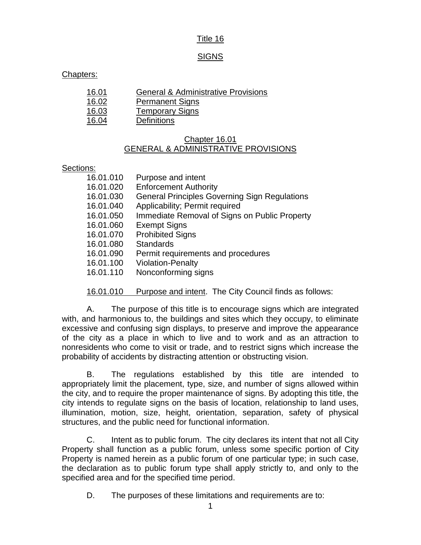## Title 16

### **SIGNS**

### Chapters:

| 16.01 | <b>General &amp; Administrative Provisions</b> |
|-------|------------------------------------------------|
| 16.02 | <b>Permanent Signs</b>                         |
| 16.03 | <b>Temporary Signs</b>                         |

16.04 Definitions

## Chapter 16.01 GENERAL & ADMINISTRATIVE PROVISIONS

#### Sections:

| 16.01.010 | Purpose and intent                                     |
|-----------|--------------------------------------------------------|
| 16.01.020 | <b>Enforcement Authority</b>                           |
| 16.01.030 | <b>General Principles Governing Sign Regulations</b>   |
| 16.01.040 | Applicability; Permit required                         |
| 16.01.050 | Immediate Removal of Signs on Public Property          |
| 16.01.060 | <b>Exempt Signs</b>                                    |
| 16.01.070 | <b>Prohibited Signs</b>                                |
| 16.01.080 | <b>Standards</b>                                       |
| 16.01.090 | Permit requirements and procedures                     |
| 16.01.100 | <b>Violation-Penalty</b>                               |
| 16.01.110 | Nonconforming signs                                    |
|           |                                                        |
| 16.01.010 | Purpose and intent. The City Council finds as follows: |

A. The purpose of this title is to encourage signs which are integrated with, and harmonious to, the buildings and sites which they occupy, to eliminate excessive and confusing sign displays, to preserve and improve the appearance of the city as a place in which to live and to work and as an attraction to nonresidents who come to visit or trade, and to restrict signs which increase the probability of accidents by distracting attention or obstructing vision.

B. The regulations established by this title are intended to appropriately limit the placement, type, size, and number of signs allowed within the city, and to require the proper maintenance of signs. By adopting this title, the city intends to regulate signs on the basis of location, relationship to land uses, illumination, motion, size, height, orientation, separation, safety of physical structures, and the public need for functional information.

C. Intent as to public forum. The city declares its intent that not all City Property shall function as a public forum, unless some specific portion of City Property is named herein as a public forum of one particular type; in such case, the declaration as to public forum type shall apply strictly to, and only to the specified area and for the specified time period.

D. The purposes of these limitations and requirements are to: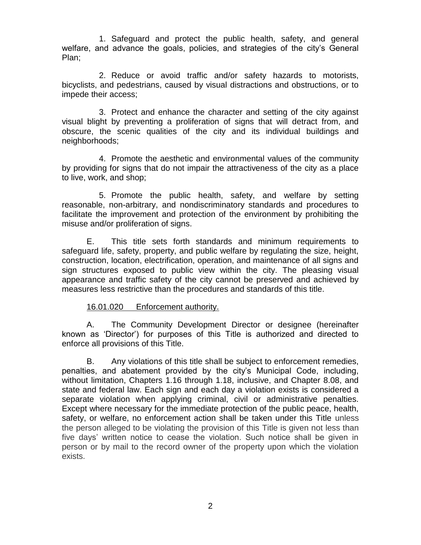1. Safeguard and protect the public health, safety, and general welfare, and advance the goals, policies, and strategies of the city's General Plan;

2. Reduce or avoid traffic and/or safety hazards to motorists, bicyclists, and pedestrians, caused by visual distractions and obstructions, or to impede their access;

3. Protect and enhance the character and setting of the city against visual blight by preventing a proliferation of signs that will detract from, and obscure, the scenic qualities of the city and its individual buildings and neighborhoods;

4. Promote the aesthetic and environmental values of the community by providing for signs that do not impair the attractiveness of the city as a place to live, work, and shop;

5. Promote the public health, safety, and welfare by setting reasonable, non-arbitrary, and nondiscriminatory standards and procedures to facilitate the improvement and protection of the environment by prohibiting the misuse and/or proliferation of signs.

E. This title sets forth standards and minimum requirements to safeguard life, safety, property, and public welfare by regulating the size, height, construction, location, electrification, operation, and maintenance of all signs and sign structures exposed to public view within the city. The pleasing visual appearance and traffic safety of the city cannot be preserved and achieved by measures less restrictive than the procedures and standards of this title.

### 16.01.020 Enforcement authority.

A. The Community Development Director or designee (hereinafter known as 'Director') for purposes of this Title is authorized and directed to enforce all provisions of this Title.

B. Any violations of this title shall be subject to enforcement remedies, penalties, and abatement provided by the city's Municipal Code, including, without limitation, Chapters 1.16 through 1.18, inclusive, and Chapter 8.08, and state and federal law. Each sign and each day a violation exists is considered a separate violation when applying criminal, civil or administrative penalties. Except where necessary for the immediate protection of the public peace, health, safety, or welfare, no enforcement action shall be taken under this Title unless the person alleged to be violating the provision of this Title is given not less than five days' written notice to cease the violation. Such notice shall be given in person or by mail to the record owner of the property upon which the violation exists.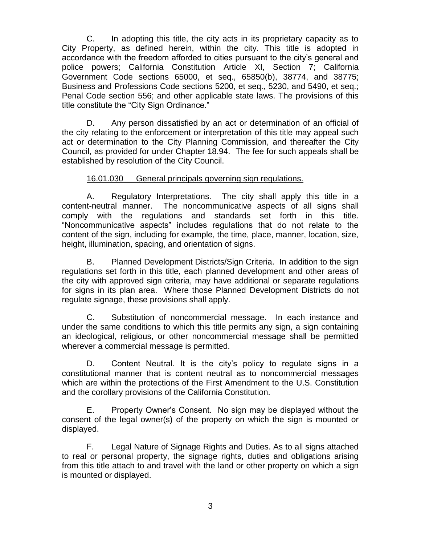C. In adopting this title, the city acts in its proprietary capacity as to City Property, as defined herein, within the city. This title is adopted in accordance with the freedom afforded to cities pursuant to the city's general and police powers; California Constitution Article XI, Section 7; California Government Code sections 65000, et seq., 65850(b), 38774, and 38775; Business and Professions Code sections 5200, et seq., 5230, and 5490, et seq.; Penal Code section 556; and other applicable state laws. The provisions of this title constitute the "City Sign Ordinance."

D. Any person dissatisfied by an act or determination of an official of the city relating to the enforcement or interpretation of this title may appeal such act or determination to the City Planning Commission, and thereafter the City Council, as provided for under Chapter 18.94. The fee for such appeals shall be established by resolution of the City Council.

## 16.01.030 General principals governing sign regulations.

A. Regulatory Interpretations. The city shall apply this title in a content-neutral manner. The noncommunicative aspects of all signs shall comply with the regulations and standards set forth in this title. "Noncommunicative aspects" includes regulations that do not relate to the content of the sign, including for example, the time, place, manner, location, size, height, illumination, spacing, and orientation of signs.

B. Planned Development Districts/Sign Criteria. In addition to the sign regulations set forth in this title, each planned development and other areas of the city with approved sign criteria, may have additional or separate regulations for signs in its plan area. Where those Planned Development Districts do not regulate signage, these provisions shall apply.

C. Substitution of noncommercial message. In each instance and under the same conditions to which this title permits any sign, a sign containing an ideological, religious, or other noncommercial message shall be permitted wherever a commercial message is permitted.

D. Content Neutral. It is the city's policy to regulate signs in a constitutional manner that is content neutral as to noncommercial messages which are within the protections of the First Amendment to the U.S. Constitution and the corollary provisions of the California Constitution.

E. Property Owner's Consent. No sign may be displayed without the consent of the legal owner(s) of the property on which the sign is mounted or displayed.

F. Legal Nature of Signage Rights and Duties. As to all signs attached to real or personal property, the signage rights, duties and obligations arising from this title attach to and travel with the land or other property on which a sign is mounted or displayed.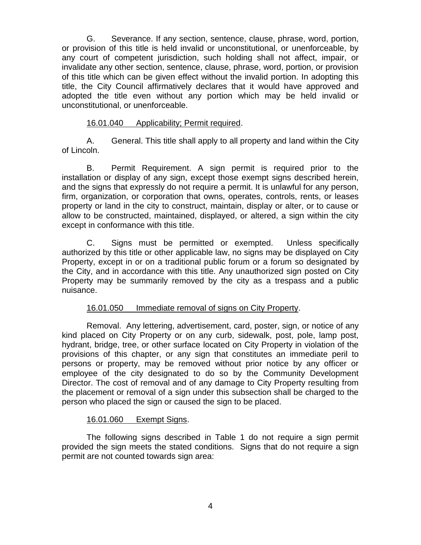G. Severance. If any section, sentence, clause, phrase, word, portion, or provision of this title is held invalid or unconstitutional, or unenforceable, by any court of competent jurisdiction, such holding shall not affect, impair, or invalidate any other section, sentence, clause, phrase, word, portion, or provision of this title which can be given effect without the invalid portion. In adopting this title, the City Council affirmatively declares that it would have approved and adopted the title even without any portion which may be held invalid or unconstitutional, or unenforceable.

## 16.01.040 Applicability; Permit required.

A. General. This title shall apply to all property and land within the City of Lincoln.

B. Permit Requirement. A sign permit is required prior to the installation or display of any sign, except those exempt signs described herein, and the signs that expressly do not require a permit. It is unlawful for any person, firm, organization, or corporation that owns, operates, controls, rents, or leases property or land in the city to construct, maintain, display or alter, or to cause or allow to be constructed, maintained, displayed, or altered, a sign within the city except in conformance with this title.

C. Signs must be permitted or exempted. Unless specifically authorized by this title or other applicable law, no signs may be displayed on City Property, except in or on a traditional public forum or a forum so designated by the City, and in accordance with this title. Any unauthorized sign posted on City Property may be summarily removed by the city as a trespass and a public nuisance.

# 16.01.050 Immediate removal of signs on City Property.

Removal. Any lettering, advertisement, card, poster, sign, or notice of any kind placed on City Property or on any curb, sidewalk, post, pole, lamp post, hydrant, bridge, tree, or other surface located on City Property in violation of the provisions of this chapter, or any sign that constitutes an immediate peril to persons or property, may be removed without prior notice by any officer or employee of the city designated to do so by the Community Development Director. The cost of removal and of any damage to City Property resulting from the placement or removal of a sign under this subsection shall be charged to the person who placed the sign or caused the sign to be placed.

### 16.01.060 Exempt Signs.

The following signs described in Table 1 do not require a sign permit provided the sign meets the stated conditions. Signs that do not require a sign permit are not counted towards sign area: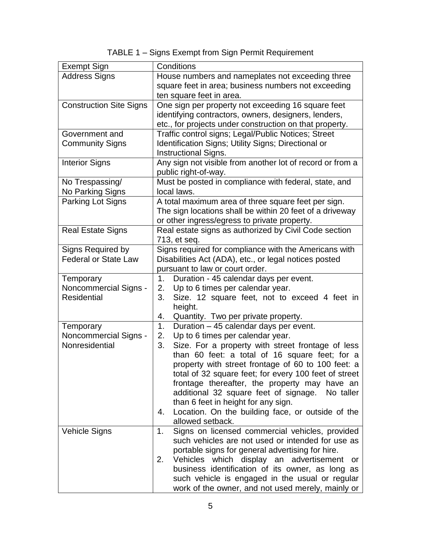| TABLE 1 - Signs Exempt from Sign Permit Requirement |  |  |  |  |
|-----------------------------------------------------|--|--|--|--|
|                                                     |  |  |  |  |

| <b>Exempt Sign</b>                       | Conditions                                                                                             |  |  |  |  |
|------------------------------------------|--------------------------------------------------------------------------------------------------------|--|--|--|--|
| <b>Address Signs</b>                     | House numbers and nameplates not exceeding three                                                       |  |  |  |  |
|                                          | square feet in area; business numbers not exceeding                                                    |  |  |  |  |
|                                          | ten square feet in area.                                                                               |  |  |  |  |
| <b>Construction Site Signs</b>           | One sign per property not exceeding 16 square feet                                                     |  |  |  |  |
|                                          | identifying contractors, owners, designers, lenders,                                                   |  |  |  |  |
|                                          | etc., for projects under construction on that property.                                                |  |  |  |  |
| Government and<br><b>Community Signs</b> | Traffic control signs; Legal/Public Notices; Street                                                    |  |  |  |  |
|                                          | Identification Signs; Utility Signs; Directional or<br>Instructional Signs.                            |  |  |  |  |
| <b>Interior Signs</b>                    | Any sign not visible from another lot of record or from a                                              |  |  |  |  |
|                                          | public right-of-way.                                                                                   |  |  |  |  |
| No Trespassing/                          | Must be posted in compliance with federal, state, and                                                  |  |  |  |  |
| No Parking Signs                         | local laws.                                                                                            |  |  |  |  |
| Parking Lot Signs                        | A total maximum area of three square feet per sign.                                                    |  |  |  |  |
|                                          | The sign locations shall be within 20 feet of a driveway                                               |  |  |  |  |
|                                          | or other ingress/egress to private property.                                                           |  |  |  |  |
| <b>Real Estate Signs</b>                 | Real estate signs as authorized by Civil Code section                                                  |  |  |  |  |
| Signs Required by                        | 713, et seq.<br>Signs required for compliance with the Americans with                                  |  |  |  |  |
| <b>Federal or State Law</b>              | Disabilities Act (ADA), etc., or legal notices posted                                                  |  |  |  |  |
|                                          | pursuant to law or court order.                                                                        |  |  |  |  |
| Temporary                                | Duration - 45 calendar days per event.<br>1.                                                           |  |  |  |  |
| Noncommercial Signs -                    | Up to 6 times per calendar year.<br>2.                                                                 |  |  |  |  |
| <b>Residential</b>                       | 3.<br>Size. 12 square feet, not to exceed 4 feet in                                                    |  |  |  |  |
|                                          | height.                                                                                                |  |  |  |  |
|                                          | 4.<br>Quantity. Two per private property.                                                              |  |  |  |  |
| Temporary                                | Duration - 45 calendar days per event.<br>1.                                                           |  |  |  |  |
| Noncommercial Signs -                    | Up to 6 times per calendar year.<br>2.                                                                 |  |  |  |  |
| Nonresidential                           | Size. For a property with street frontage of less<br>3.                                                |  |  |  |  |
|                                          | than 60 feet: a total of 16 square feet; for a                                                         |  |  |  |  |
|                                          | property with street frontage of 60 to 100 feet: a                                                     |  |  |  |  |
|                                          | total of 32 square feet; for every 100 feet of street<br>frontage thereafter, the property may have an |  |  |  |  |
|                                          | additional 32 square feet of signage.<br>No taller                                                     |  |  |  |  |
|                                          | than 6 feet in height for any sign.                                                                    |  |  |  |  |
|                                          | Location. On the building face, or outside of the<br>4.                                                |  |  |  |  |
|                                          | allowed setback.                                                                                       |  |  |  |  |
| <b>Vehicle Signs</b>                     | Signs on licensed commercial vehicles, provided<br>1.                                                  |  |  |  |  |
|                                          | such vehicles are not used or intended for use as                                                      |  |  |  |  |
|                                          | portable signs for general advertising for hire.                                                       |  |  |  |  |
|                                          | Vehicles which display an advertisement or<br>2.                                                       |  |  |  |  |
|                                          | business identification of its owner, as long as                                                       |  |  |  |  |
|                                          | such vehicle is engaged in the usual or regular                                                        |  |  |  |  |
|                                          | work of the owner, and not used merely, mainly or                                                      |  |  |  |  |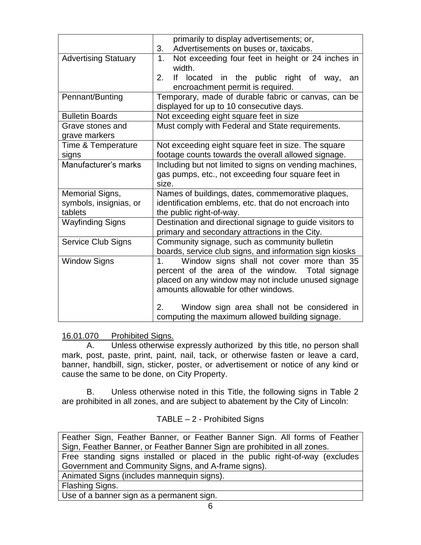|                                                                           | primarily to display advertisements; or,                            |  |  |  |
|---------------------------------------------------------------------------|---------------------------------------------------------------------|--|--|--|
|                                                                           | Advertisements on buses or, taxicabs.<br>3.                         |  |  |  |
| <b>Advertising Statuary</b>                                               | Not exceeding four feet in height or 24 inches in<br>1 <sub>1</sub> |  |  |  |
|                                                                           | width.                                                              |  |  |  |
|                                                                           | 2.<br>If located in the public right of way,<br>an                  |  |  |  |
|                                                                           | encroachment permit is required.                                    |  |  |  |
| Pennant/Bunting                                                           | Temporary, made of durable fabric or canvas, can be                 |  |  |  |
|                                                                           | displayed for up to 10 consecutive days.                            |  |  |  |
| <b>Bulletin Boards</b><br>Not exceeding eight square feet in size         |                                                                     |  |  |  |
| Grave stones and                                                          | Must comply with Federal and State requirements.                    |  |  |  |
| grave markers                                                             |                                                                     |  |  |  |
| Not exceeding eight square feet in size. The square<br>Time & Temperature |                                                                     |  |  |  |
| signs                                                                     | footage counts towards the overall allowed signage.                 |  |  |  |
| Manufacturer's marks                                                      | Including but not limited to signs on vending machines,             |  |  |  |
|                                                                           | gas pumps, etc., not exceeding four square feet in                  |  |  |  |
|                                                                           | size.                                                               |  |  |  |
| Memorial Signs,                                                           | Names of buildings, dates, commemorative plaques,                   |  |  |  |
| symbols, insignias, or                                                    | identification emblems, etc. that do not encroach into              |  |  |  |
| tablets                                                                   | the public right-of-way.                                            |  |  |  |
| <b>Wayfinding Signs</b>                                                   | Destination and directional signage to guide visitors to            |  |  |  |
|                                                                           | primary and secondary attractions in the City.                      |  |  |  |
| <b>Service Club Signs</b>                                                 | Community signage, such as community bulletin                       |  |  |  |
|                                                                           | boards, service club signs, and information sign kiosks             |  |  |  |
| <b>Window Signs</b>                                                       | Window signs shall not cover more than 35<br>1.                     |  |  |  |
|                                                                           | percent of the area of the window. Total signage                    |  |  |  |
|                                                                           | placed on any window may not include unused signage                 |  |  |  |
|                                                                           | amounts allowable for other windows.                                |  |  |  |
|                                                                           | 2.<br>Window sign area shall not be considered in                   |  |  |  |
|                                                                           | computing the maximum allowed building signage.                     |  |  |  |
|                                                                           |                                                                     |  |  |  |

# 16.01.070 Prohibited Signs.

A. Unless otherwise expressly authorized by this title, no person shall mark, post, paste, print, paint, nail, tack, or otherwise fasten or leave a card, banner, handbill, sign, sticker, poster, or advertisement or notice of any kind or cause the same to be done, on City Property.

B. Unless otherwise noted in this Title, the following signs in Table 2 are prohibited in all zones, and are subject to abatement by the City of Lincoln:

# TABLE – 2 - Prohibited Signs

Feather Sign, Feather Banner, or Feather Banner Sign. All forms of Feather Sign, Feather Banner, or Feather Banner Sign are prohibited in all zones. Free standing signs installed or placed in the public right-of-way (excludes

Government and Community Signs, and A-frame signs).

Animated Signs (includes mannequin signs).

Flashing Signs.

Use of a banner sign as a permanent sign.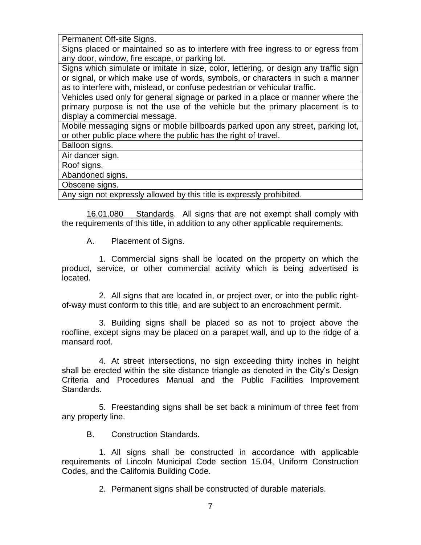Permanent Off-site Signs.

Signs placed or maintained so as to interfere with free ingress to or egress from any door, window, fire escape, or parking lot.

Signs which simulate or imitate in size, color, lettering, or design any traffic sign or signal, or which make use of words, symbols, or characters in such a manner as to interfere with, mislead, or confuse pedestrian or vehicular traffic.

Vehicles used only for general signage or parked in a place or manner where the primary purpose is not the use of the vehicle but the primary placement is to display a commercial message.

Mobile messaging signs or mobile billboards parked upon any street, parking lot, or other public place where the public has the right of travel.

Balloon signs.

Air dancer sign.

Roof signs.

Abandoned signs.

Obscene signs.

Any sign not expressly allowed by this title is expressly prohibited.

16.01.080 Standards. All signs that are not exempt shall comply with the requirements of this title, in addition to any other applicable requirements.

A. Placement of Signs.

1. Commercial signs shall be located on the property on which the product, service, or other commercial activity which is being advertised is located.

2. All signs that are located in, or project over, or into the public rightof-way must conform to this title, and are subject to an encroachment permit.

3. Building signs shall be placed so as not to project above the roofline, except signs may be placed on a parapet wall, and up to the ridge of a mansard roof.

4. At street intersections, no sign exceeding thirty inches in height shall be erected within the site distance triangle as denoted in the City's Design Criteria and Procedures Manual and the Public Facilities Improvement Standards.

5. Freestanding signs shall be set back a minimum of three feet from any property line.

B. Construction Standards.

1. All signs shall be constructed in accordance with applicable requirements of Lincoln Municipal Code section 15.04, Uniform Construction Codes, and the California Building Code.

2. Permanent signs shall be constructed of durable materials.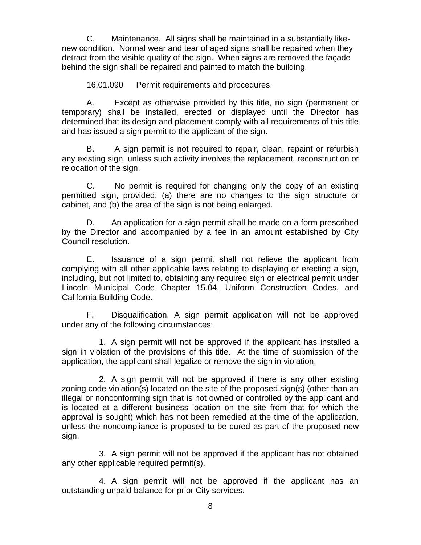C. Maintenance. All signs shall be maintained in a substantially likenew condition. Normal wear and tear of aged signs shall be repaired when they detract from the visible quality of the sign. When signs are removed the façade behind the sign shall be repaired and painted to match the building.

### 16.01.090 Permit requirements and procedures.

A. Except as otherwise provided by this title, no sign (permanent or temporary) shall be installed, erected or displayed until the Director has determined that its design and placement comply with all requirements of this title and has issued a sign permit to the applicant of the sign.

B. A sign permit is not required to repair, clean, repaint or refurbish any existing sign, unless such activity involves the replacement, reconstruction or relocation of the sign.

C. No permit is required for changing only the copy of an existing permitted sign, provided: (a) there are no changes to the sign structure or cabinet, and (b) the area of the sign is not being enlarged.

D. An application for a sign permit shall be made on a form prescribed by the Director and accompanied by a fee in an amount established by City Council resolution.

E. Issuance of a sign permit shall not relieve the applicant from complying with all other applicable laws relating to displaying or erecting a sign, including, but not limited to, obtaining any required sign or electrical permit under Lincoln Municipal Code Chapter 15.04, Uniform Construction Codes, and California Building Code.

F. Disqualification. A sign permit application will not be approved under any of the following circumstances:

1. A sign permit will not be approved if the applicant has installed a sign in violation of the provisions of this title. At the time of submission of the application, the applicant shall legalize or remove the sign in violation.

2. A sign permit will not be approved if there is any other existing zoning code violation(s) located on the site of the proposed sign(s) (other than an illegal or nonconforming sign that is not owned or controlled by the applicant and is located at a different business location on the site from that for which the approval is sought) which has not been remedied at the time of the application, unless the noncompliance is proposed to be cured as part of the proposed new sign.

3. A sign permit will not be approved if the applicant has not obtained any other applicable required permit(s).

4. A sign permit will not be approved if the applicant has an outstanding unpaid balance for prior City services.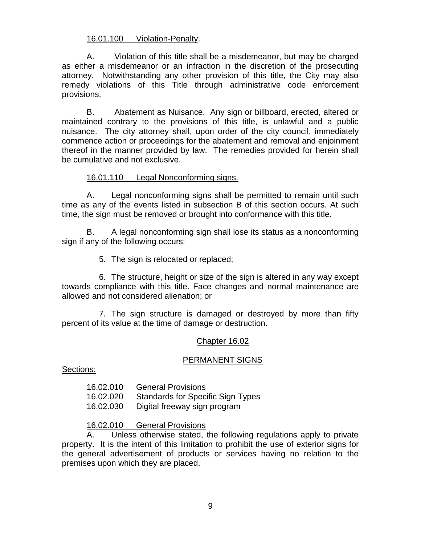### 16.01.100 Violation-Penalty.

A. Violation of this title shall be a misdemeanor, but may be charged as either a misdemeanor or an infraction in the discretion of the prosecuting attorney. Notwithstanding any other provision of this title, the City may also remedy violations of this Title through administrative code enforcement provisions.

B. Abatement as Nuisance. Any sign or billboard, erected, altered or maintained contrary to the provisions of this title, is unlawful and a public nuisance. The city attorney shall, upon order of the city council, immediately commence action or proceedings for the abatement and removal and enjoinment thereof in the manner provided by law. The remedies provided for herein shall be cumulative and not exclusive.

#### 16.01.110 Legal Nonconforming signs.

A. Legal nonconforming signs shall be permitted to remain until such time as any of the events listed in subsection B of this section occurs. At such time, the sign must be removed or brought into conformance with this title.

B. A legal nonconforming sign shall lose its status as a nonconforming sign if any of the following occurs:

5. The sign is relocated or replaced;

6. The structure, height or size of the sign is altered in any way except towards compliance with this title. Face changes and normal maintenance are allowed and not considered alienation; or

7. The sign structure is damaged or destroyed by more than fifty percent of its value at the time of damage or destruction.

### Chapter 16.02

### PERMANENT SIGNS

Sections:

16.02.010 General Provisions 16.02.020 Standards for Specific Sign Types 16.02.030 Digital freeway sign program

#### 16.02.010 General Provisions

A. Unless otherwise stated, the following regulations apply to private property. It is the intent of this limitation to prohibit the use of exterior signs for the general advertisement of products or services having no relation to the premises upon which they are placed.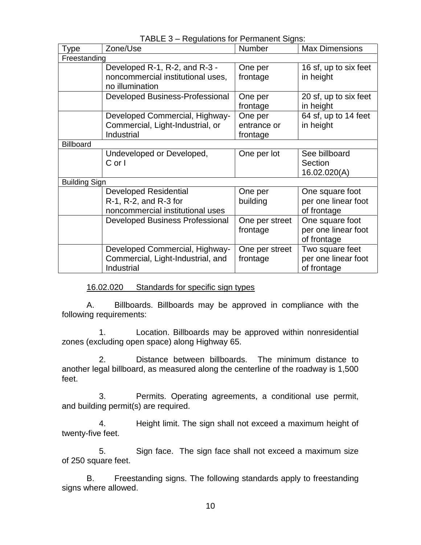| Type                 | Zone/Use                               | Number         | <b>Max Dimensions</b> |  |  |
|----------------------|----------------------------------------|----------------|-----------------------|--|--|
| Freestanding         |                                        |                |                       |  |  |
|                      | Developed R-1, R-2, and R-3 -          | One per        | 16 sf, up to six feet |  |  |
|                      | noncommercial institutional uses,      | frontage       | in height             |  |  |
|                      | no illumination                        |                |                       |  |  |
|                      | Developed Business-Professional        | One per        | 20 sf, up to six feet |  |  |
|                      |                                        | frontage       | in height             |  |  |
|                      | Developed Commercial, Highway-         | One per        | 64 sf, up to 14 feet  |  |  |
|                      | Commercial, Light-Industrial, or       | entrance or    | in height             |  |  |
|                      | Industrial                             | frontage       |                       |  |  |
| <b>Billboard</b>     |                                        |                |                       |  |  |
|                      | Undeveloped or Developed,              | One per lot    | See billboard         |  |  |
|                      | $C$ or $\vert$                         |                | Section               |  |  |
|                      |                                        |                | 16.02.020(A)          |  |  |
| <b>Building Sign</b> |                                        |                |                       |  |  |
|                      | <b>Developed Residential</b>           | One per        | One square foot       |  |  |
|                      | R-1, R-2, and R-3 for                  | building       | per one linear foot   |  |  |
|                      | noncommercial institutional uses       |                | of frontage           |  |  |
|                      | <b>Developed Business Professional</b> | One per street | One square foot       |  |  |
|                      |                                        | frontage       | per one linear foot   |  |  |
|                      |                                        |                | of frontage           |  |  |
|                      | Developed Commercial, Highway-         | One per street | Two square feet       |  |  |
|                      | Commercial, Light-Industrial, and      | frontage       | per one linear foot   |  |  |
|                      | Industrial                             |                | of frontage           |  |  |

TABLE 3 – Regulations for Permanent Signs:

16.02.020 Standards for specific sign types

A. Billboards. Billboards may be approved in compliance with the following requirements:

1. Location. Billboards may be approved within nonresidential zones (excluding open space) along Highway 65.

2. Distance between billboards. The minimum distance to another legal billboard, as measured along the centerline of the roadway is 1,500 feet.

3. Permits. Operating agreements, a conditional use permit, and building permit(s) are required.

4. Height limit. The sign shall not exceed a maximum height of twenty-five feet.

5. Sign face. The sign face shall not exceed a maximum size of 250 square feet.

B. Freestanding signs. The following standards apply to freestanding signs where allowed.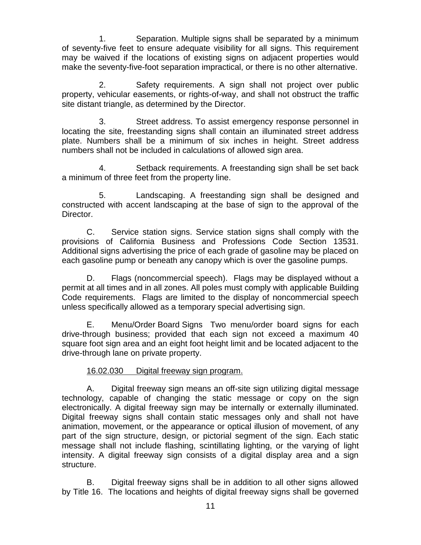1. Separation. Multiple signs shall be separated by a minimum of seventy-five feet to ensure adequate visibility for all signs. This requirement may be waived if the locations of existing signs on adjacent properties would make the seventy-five-foot separation impractical, or there is no other alternative.

2. Safety requirements. A sign shall not project over public property, vehicular easements, or rights-of-way, and shall not obstruct the traffic site distant triangle, as determined by the Director.

3. Street address. To assist emergency response personnel in locating the site, freestanding signs shall contain an illuminated street address plate. Numbers shall be a minimum of six inches in height. Street address numbers shall not be included in calculations of allowed sign area.

4. Setback requirements. A freestanding sign shall be set back a minimum of three feet from the property line.

5. Landscaping. A freestanding sign shall be designed and constructed with accent landscaping at the base of sign to the approval of the Director.

C. Service station signs. Service station signs shall comply with the provisions of California Business and Professions Code Section 13531. Additional signs advertising the price of each grade of gasoline may be placed on each gasoline pump or beneath any canopy which is over the gasoline pumps.

D. Flags (noncommercial speech). Flags may be displayed without a permit at all times and in all zones. All poles must comply with applicable Building Code requirements. Flags are limited to the display of noncommercial speech unless specifically allowed as a temporary special advertising sign.

E. Menu/Order Board Signs Two menu/order board signs for each drive-through business; provided that each sign not exceed a maximum 40 square foot sign area and an eight foot height limit and be located adjacent to the drive-through lane on private property.

# 16.02.030 Digital freeway sign program.

A. Digital freeway sign means an off-site sign utilizing digital message technology, capable of changing the static message or copy on the sign electronically. A digital freeway sign may be internally or externally illuminated. Digital freeway signs shall contain static messages only and shall not have animation, movement, or the appearance or optical illusion of movement, of any part of the sign structure, design, or pictorial segment of the sign. Each static message shall not include flashing, scintillating lighting, or the varying of light intensity. A digital freeway sign consists of a digital display area and a sign structure.

B. Digital freeway signs shall be in addition to all other signs allowed by Title 16. The locations and heights of digital freeway signs shall be governed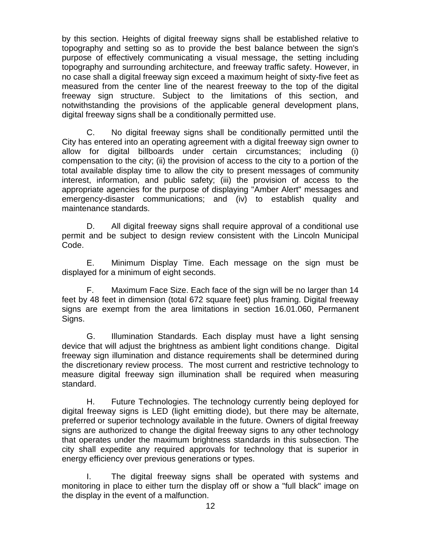by this section. Heights of digital freeway signs shall be established relative to topography and setting so as to provide the best balance between the sign's purpose of effectively communicating a visual message, the setting including topography and surrounding architecture, and freeway traffic safety. However, in no case shall a digital freeway sign exceed a maximum height of sixty-five feet as measured from the center line of the nearest freeway to the top of the digital freeway sign structure. Subject to the limitations of this section, and notwithstanding the provisions of the applicable general development plans, digital freeway signs shall be a conditionally permitted use.

C. No digital freeway signs shall be conditionally permitted until the City has entered into an operating agreement with a digital freeway sign owner to allow for digital billboards under certain circumstances; including (i) compensation to the city; (ii) the provision of access to the city to a portion of the total available display time to allow the city to present messages of community interest, information, and public safety; (iii) the provision of access to the appropriate agencies for the purpose of displaying "Amber Alert" messages and emergency-disaster communications; and (iv) to establish quality and maintenance standards.

D. All digital freeway signs shall require approval of a conditional use permit and be subject to design review consistent with the Lincoln Municipal Code.

E. Minimum Display Time. Each message on the sign must be displayed for a minimum of eight seconds.

F. Maximum Face Size. Each face of the sign will be no larger than 14 feet by 48 feet in dimension (total 672 square feet) plus framing. Digital freeway signs are exempt from the area limitations in section 16.01.060, Permanent Signs.

G. Illumination Standards. Each display must have a light sensing device that will adjust the brightness as ambient light conditions change. Digital freeway sign illumination and distance requirements shall be determined during the discretionary review process. The most current and restrictive technology to measure digital freeway sign illumination shall be required when measuring standard.

H. Future Technologies. The technology currently being deployed for digital freeway signs is LED (light emitting diode), but there may be alternate, preferred or superior technology available in the future. Owners of digital freeway signs are authorized to change the digital freeway signs to any other technology that operates under the maximum brightness standards in this subsection. The city shall expedite any required approvals for technology that is superior in energy efficiency over previous generations or types.

I. The digital freeway signs shall be operated with systems and monitoring in place to either turn the display off or show a "full black" image on the display in the event of a malfunction.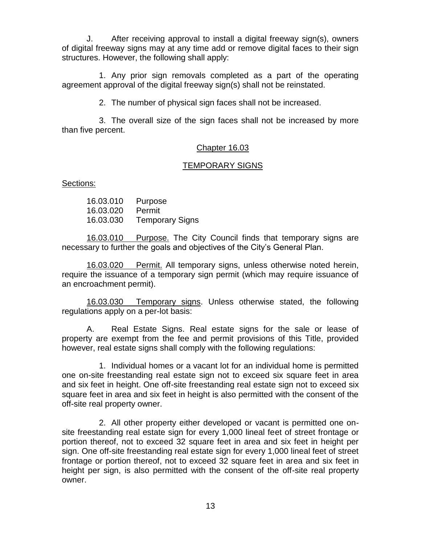J. After receiving approval to install a digital freeway sign(s), owners of digital freeway signs may at any time add or remove digital faces to their sign structures. However, the following shall apply:

1. Any prior sign removals completed as a part of the operating agreement approval of the digital freeway sign(s) shall not be reinstated.

2. The number of physical sign faces shall not be increased.

3. The overall size of the sign faces shall not be increased by more than five percent.

### Chapter 16.03

## TEMPORARY SIGNS

Sections:

16.03.010 Purpose 16.03.020 Permit 16.03.030 Temporary Signs

16.03.010 Purpose. The City Council finds that temporary signs are necessary to further the goals and objectives of the City's General Plan.

16.03.020 Permit. All temporary signs, unless otherwise noted herein, require the issuance of a temporary sign permit (which may require issuance of an encroachment permit).

16.03.030 Temporary signs. Unless otherwise stated, the following regulations apply on a per-lot basis:

A. Real Estate Signs. Real estate signs for the sale or lease of property are exempt from the fee and permit provisions of this Title, provided however, real estate signs shall comply with the following regulations:

1. Individual homes or a vacant lot for an individual home is permitted one on-site freestanding real estate sign not to exceed six square feet in area and six feet in height. One off-site freestanding real estate sign not to exceed six square feet in area and six feet in height is also permitted with the consent of the off-site real property owner.

2. All other property either developed or vacant is permitted one onsite freestanding real estate sign for every 1,000 lineal feet of street frontage or portion thereof, not to exceed 32 square feet in area and six feet in height per sign. One off-site freestanding real estate sign for every 1,000 lineal feet of street frontage or portion thereof, not to exceed 32 square feet in area and six feet in height per sign, is also permitted with the consent of the off-site real property owner.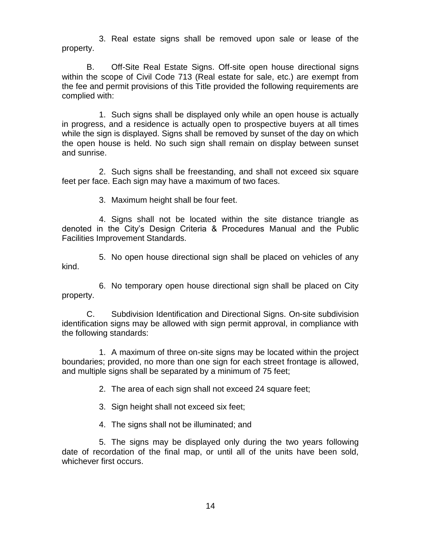3. Real estate signs shall be removed upon sale or lease of the property.

B. Off-Site Real Estate Signs. Off-site open house directional signs within the scope of Civil Code 713 (Real estate for sale, etc.) are exempt from the fee and permit provisions of this Title provided the following requirements are complied with:

1. Such signs shall be displayed only while an open house is actually in progress, and a residence is actually open to prospective buyers at all times while the sign is displayed. Signs shall be removed by sunset of the day on which the open house is held. No such sign shall remain on display between sunset and sunrise.

2. Such signs shall be freestanding, and shall not exceed six square feet per face. Each sign may have a maximum of two faces.

3. Maximum height shall be four feet.

4. Signs shall not be located within the site distance triangle as denoted in the City's Design Criteria & Procedures Manual and the Public Facilities Improvement Standards.

5. No open house directional sign shall be placed on vehicles of any kind.

6. No temporary open house directional sign shall be placed on City property.

C. Subdivision Identification and Directional Signs. On-site subdivision identification signs may be allowed with sign permit approval, in compliance with the following standards:

1. A maximum of three on-site signs may be located within the project boundaries; provided, no more than one sign for each street frontage is allowed, and multiple signs shall be separated by a minimum of 75 feet;

2. The area of each sign shall not exceed 24 square feet;

3. Sign height shall not exceed six feet;

4. The signs shall not be illuminated; and

5. The signs may be displayed only during the two years following date of recordation of the final map, or until all of the units have been sold, whichever first occurs.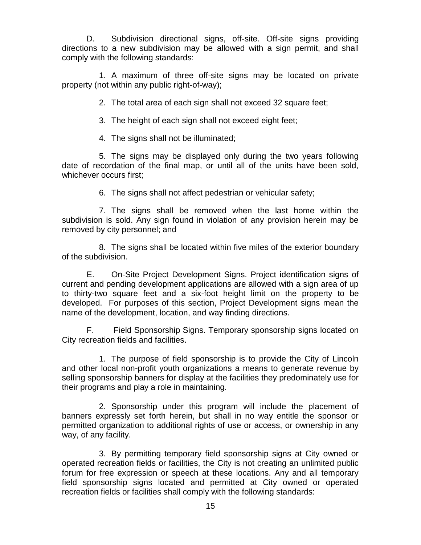D. Subdivision directional signs, off-site. Off-site signs providing directions to a new subdivision may be allowed with a sign permit, and shall comply with the following standards:

1. A maximum of three off-site signs may be located on private property (not within any public right-of-way);

2. The total area of each sign shall not exceed 32 square feet;

3. The height of each sign shall not exceed eight feet;

4. The signs shall not be illuminated;

5. The signs may be displayed only during the two years following date of recordation of the final map, or until all of the units have been sold, whichever occurs first;

6. The signs shall not affect pedestrian or vehicular safety;

7. The signs shall be removed when the last home within the subdivision is sold. Any sign found in violation of any provision herein may be removed by city personnel; and

8. The signs shall be located within five miles of the exterior boundary of the subdivision.

E. On-Site Project Development Signs. Project identification signs of current and pending development applications are allowed with a sign area of up to thirty-two square feet and a six-foot height limit on the property to be developed. For purposes of this section, Project Development signs mean the name of the development, location, and way finding directions.

F. Field Sponsorship Signs. Temporary sponsorship signs located on City recreation fields and facilities.

1. The purpose of field sponsorship is to provide the City of Lincoln and other local non-profit youth organizations a means to generate revenue by selling sponsorship banners for display at the facilities they predominately use for their programs and play a role in maintaining.

2. Sponsorship under this program will include the placement of banners expressly set forth herein, but shall in no way entitle the sponsor or permitted organization to additional rights of use or access, or ownership in any way, of any facility.

3. By permitting temporary field sponsorship signs at City owned or operated recreation fields or facilities, the City is not creating an unlimited public forum for free expression or speech at these locations. Any and all temporary field sponsorship signs located and permitted at City owned or operated recreation fields or facilities shall comply with the following standards: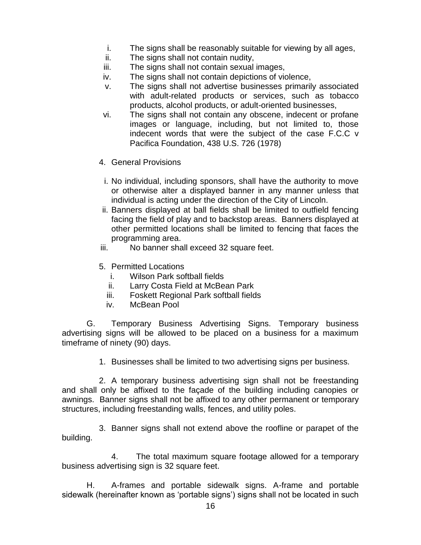- i. The signs shall be reasonably suitable for viewing by all ages,
- ii. The signs shall not contain nudity,
- iii. The signs shall not contain sexual images,
- iv. The signs shall not contain depictions of violence,
- v. The signs shall not advertise businesses primarily associated with adult-related products or services, such as tobacco products, alcohol products, or adult-oriented businesses,
- vi. The signs shall not contain any obscene, indecent or profane images or language, including, but not limited to, those indecent words that were the subject of the case F.C.C v Pacifica Foundation, 438 U.S. 726 (1978)
- 4. General Provisions
	- i. No individual, including sponsors, shall have the authority to move or otherwise alter a displayed banner in any manner unless that individual is acting under the direction of the City of Lincoln.
- ii. Banners displayed at ball fields shall be limited to outfield fencing facing the field of play and to backstop areas. Banners displayed at other permitted locations shall be limited to fencing that faces the programming area.
- iii. No banner shall exceed 32 square feet.
- 5. Permitted Locations
	- i. Wilson Park softball fields
	- ii. Larry Costa Field at McBean Park
	- iii. Foskett Regional Park softball fields
	- iv. McBean Pool

G. Temporary Business Advertising Signs. Temporary business advertising signs will be allowed to be placed on a business for a maximum timeframe of ninety (90) days.

1. Businesses shall be limited to two advertising signs per business.

2. A temporary business advertising sign shall not be freestanding and shall only be affixed to the façade of the building including canopies or awnings. Banner signs shall not be affixed to any other permanent or temporary structures, including freestanding walls, fences, and utility poles.

3. Banner signs shall not extend above the roofline or parapet of the building.

4. The total maximum square footage allowed for a temporary business advertising sign is 32 square feet.

H. A-frames and portable sidewalk signs. A-frame and portable sidewalk (hereinafter known as 'portable signs') signs shall not be located in such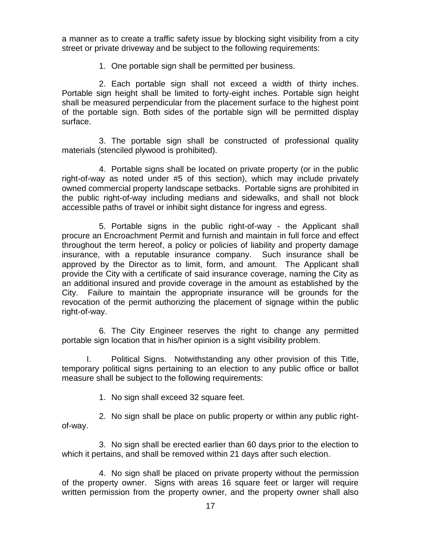a manner as to create a traffic safety issue by blocking sight visibility from a city street or private driveway and be subject to the following requirements:

1. One portable sign shall be permitted per business.

2. Each portable sign shall not exceed a width of thirty inches. Portable sign height shall be limited to forty-eight inches. Portable sign height shall be measured perpendicular from the placement surface to the highest point of the portable sign. Both sides of the portable sign will be permitted display surface.

3. The portable sign shall be constructed of professional quality materials (stenciled plywood is prohibited).

4. Portable signs shall be located on private property (or in the public right-of-way as noted under #5 of this section), which may include privately owned commercial property landscape setbacks. Portable signs are prohibited in the public right-of-way including medians and sidewalks, and shall not block accessible paths of travel or inhibit sight distance for ingress and egress.

5. Portable signs in the public right-of-way - the Applicant shall procure an Encroachment Permit and furnish and maintain in full force and effect throughout the term hereof, a policy or policies of liability and property damage insurance, with a reputable insurance company. Such insurance shall be approved by the Director as to limit, form, and amount. The Applicant shall provide the City with a certificate of said insurance coverage, naming the City as an additional insured and provide coverage in the amount as established by the City. Failure to maintain the appropriate insurance will be grounds for the revocation of the permit authorizing the placement of signage within the public right-of-way.

6. The City Engineer reserves the right to change any permitted portable sign location that in his/her opinion is a sight visibility problem.

I. Political Signs. Notwithstanding any other provision of this Title, temporary political signs pertaining to an election to any public office or ballot measure shall be subject to the following requirements:

1. No sign shall exceed 32 square feet.

2. No sign shall be place on public property or within any public rightof-way.

3. No sign shall be erected earlier than 60 days prior to the election to which it pertains, and shall be removed within 21 days after such election.

4. No sign shall be placed on private property without the permission of the property owner. Signs with areas 16 square feet or larger will require written permission from the property owner, and the property owner shall also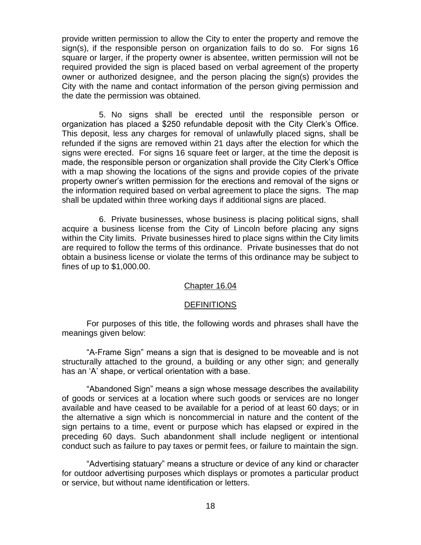provide written permission to allow the City to enter the property and remove the sign(s), if the responsible person on organization fails to do so. For signs 16 square or larger, if the property owner is absentee, written permission will not be required provided the sign is placed based on verbal agreement of the property owner or authorized designee, and the person placing the sign(s) provides the City with the name and contact information of the person giving permission and the date the permission was obtained.

5. No signs shall be erected until the responsible person or organization has placed a \$250 refundable deposit with the City Clerk's Office. This deposit, less any charges for removal of unlawfully placed signs, shall be refunded if the signs are removed within 21 days after the election for which the signs were erected. For signs 16 square feet or larger, at the time the deposit is made, the responsible person or organization shall provide the City Clerk's Office with a map showing the locations of the signs and provide copies of the private property owner's written permission for the erections and removal of the signs or the information required based on verbal agreement to place the signs. The map shall be updated within three working days if additional signs are placed.

6. Private businesses, whose business is placing political signs, shall acquire a business license from the City of Lincoln before placing any signs within the City limits. Private businesses hired to place signs within the City limits are required to follow the terms of this ordinance. Private businesses that do not obtain a business license or violate the terms of this ordinance may be subject to fines of up to \$1,000.00.

#### Chapter 16.04

#### **DEFINITIONS**

For purposes of this title, the following words and phrases shall have the meanings given below:

"A-Frame Sign" means a sign that is designed to be moveable and is not structurally attached to the ground, a building or any other sign; and generally has an 'A' shape, or vertical orientation with a base.

"Abandoned Sign" means a sign whose message describes the availability of goods or services at a location where such goods or services are no longer available and have ceased to be available for a period of at least 60 days; or in the alternative a sign which is noncommercial in nature and the content of the sign pertains to a time, event or purpose which has elapsed or expired in the preceding 60 days. Such abandonment shall include negligent or intentional conduct such as failure to pay taxes or permit fees, or failure to maintain the sign.

"Advertising statuary" means a structure or device of any kind or character for outdoor advertising purposes which displays or promotes a particular product or service, but without name identification or letters.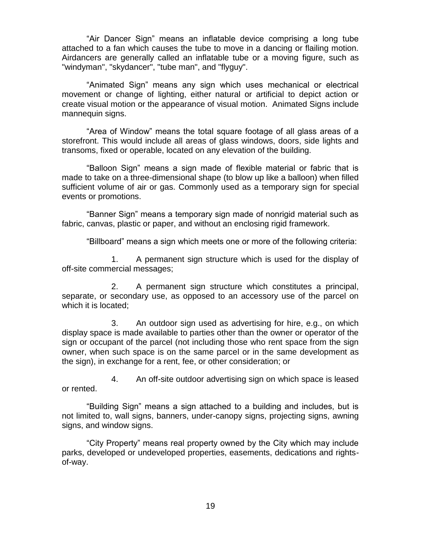"Air Dancer Sign" means an inflatable device comprising a long tube attached to a fan which causes the tube to move in a dancing or flailing motion. Airdancers are generally called an inflatable tube or a moving figure, such as "windyman", "skydancer", "tube man", and "flyguy".

"Animated Sign" means any sign which uses mechanical or electrical movement or change of lighting, either natural or artificial to depict action or create visual motion or the appearance of visual motion. Animated Signs include mannequin signs.

"Area of Window" means the total square footage of all glass areas of a storefront. This would include all areas of glass windows, doors, side lights and transoms, fixed or operable, located on any elevation of the building.

"Balloon Sign" means a sign made of flexible material or fabric that is made to take on a three-dimensional shape (to blow up like a balloon) when filled sufficient volume of air or gas. Commonly used as a temporary sign for special events or promotions.

"Banner Sign" means a temporary sign made of nonrigid material such as fabric, canvas, plastic or paper, and without an enclosing rigid framework.

"Billboard" means a sign which meets one or more of the following criteria:

1. A permanent sign structure which is used for the display of off-site commercial messages;

2. A permanent sign structure which constitutes a principal, separate, or secondary use, as opposed to an accessory use of the parcel on which it is located;

3. An outdoor sign used as advertising for hire, e.g., on which display space is made available to parties other than the owner or operator of the sign or occupant of the parcel (not including those who rent space from the sign owner, when such space is on the same parcel or in the same development as the sign), in exchange for a rent, fee, or other consideration; or

4. An off-site outdoor advertising sign on which space is leased or rented.

"Building Sign" means a sign attached to a building and includes, but is not limited to, wall signs, banners, under-canopy signs, projecting signs, awning signs, and window signs.

"City Property" means real property owned by the City which may include parks, developed or undeveloped properties, easements, dedications and rightsof-way.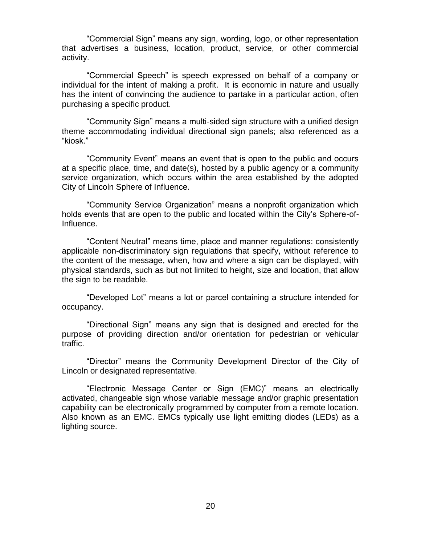"Commercial Sign" means any sign, wording, logo, or other representation that advertises a business, location, product, service, or other commercial activity.

"Commercial Speech" is speech expressed on behalf of a company or individual for the intent of making a profit. It is economic in nature and usually has the intent of convincing the audience to partake in a particular action, often purchasing a specific product.

"Community Sign" means a multi-sided sign structure with a unified design theme accommodating individual directional sign panels; also referenced as a "kiosk."

"Community Event" means an event that is open to the public and occurs at a specific place, time, and date(s), hosted by a public agency or a community service organization, which occurs within the area established by the adopted City of Lincoln Sphere of Influence.

"Community Service Organization" means a nonprofit organization which holds events that are open to the public and located within the City's Sphere-of-Influence.

"Content Neutral" means time, place and manner regulations: consistently applicable non-discriminatory sign regulations that specify, without reference to the content of the message, when, how and where a sign can be displayed, with physical standards, such as but not limited to height, size and location, that allow the sign to be readable.

"Developed Lot" means a lot or parcel containing a structure intended for occupancy.

"Directional Sign" means any sign that is designed and erected for the purpose of providing direction and/or orientation for pedestrian or vehicular traffic.

"Director" means the Community Development Director of the City of Lincoln or designated representative.

"Electronic Message Center or Sign (EMC)" means an electrically activated, changeable sign whose variable message and/or graphic presentation capability can be electronically programmed by computer from a remote location. Also known as an EMC. EMCs typically use light emitting diodes (LEDs) as a lighting source.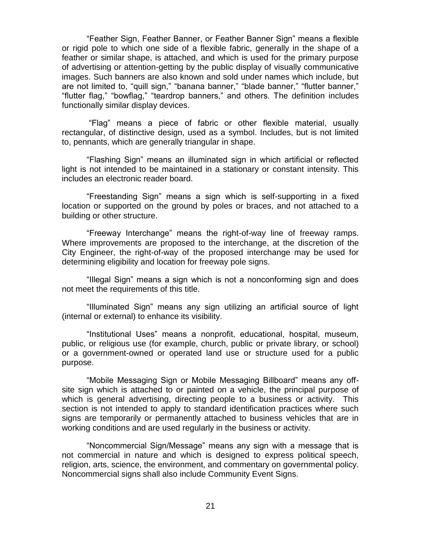"Feather Sign, Feather Banner, or Feather Banner Sign" means a flexible or rigid pole to which one side of a flexible fabric, generally in the shape of a feather or similar shape, is attached, and which is used for the primary purpose of advertising or attention-getting by the public display of visually communicative images. Such banners are also known and sold under names which include, but are not limited to, "quill sign," "banana banner," "blade banner," "flutter banner," "flutter flag," "bowflag," "teardrop banners," and others. The definition includes functionally similar display devices.

"Flag" means a piece of fabric or other flexible material, usually rectangular, of distinctive design, used as a symbol. Includes, but is not limited to, pennants, which are generally triangular in shape.

"Flashing Sign" means an illuminated sign in which artificial or reflected light is not intended to be maintained in a stationary or constant intensity. This includes an electronic reader board.

"Freestanding Sign" means a sign which is self-supporting in a fixed location or supported on the ground by poles or braces, and not attached to a building or other structure.

"Freeway Interchange" means the right-of-way line of freeway ramps. Where improvements are proposed to the interchange, at the discretion of the City Engineer, the right-of-way of the proposed interchange may be used for determining eligibility and location for freeway pole signs.

"Illegal Sign" means a sign which is not a nonconforming sign and does not meet the requirements of this title.

"Illuminated Sign" means any sign utilizing an artificial source of light (internal or external) to enhance its visibility.

"Institutional Uses" means a nonprofit, educational, hospital, museum, public, or religious use (for example, church, public or private library, or school) or a government-owned or operated land use or structure used for a public purpose.

"Mobile Messaging Sign or Mobile Messaging Billboard" means any offsite sign which is attached to or painted on a vehicle, the principal purpose of which is general advertising, directing people to a business or activity. This section is not intended to apply to standard identification practices where such signs are temporarily or permanently attached to business vehicles that are in working conditions and are used regularly in the business or activity.

"Noncommercial Sign/Message" means any sign with a message that is not commercial in nature and which is designed to express political speech, religion, arts, science, the environment, and commentary on governmental policy. Noncommercial signs shall also include Community Event Signs.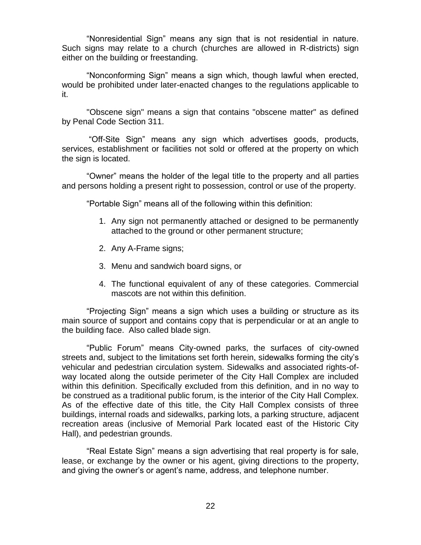"Nonresidential Sign" means any sign that is not residential in nature. Such signs may relate to a church (churches are allowed in R-districts) sign either on the building or freestanding.

"Nonconforming Sign" means a sign which, though lawful when erected, would be prohibited under later-enacted changes to the regulations applicable to it.

"Obscene sign" means a sign that contains "obscene matter" as defined by Penal Code Section 311.

"Off-Site Sign" means any sign which advertises goods, products, services, establishment or facilities not sold or offered at the property on which the sign is located.

"Owner" means the holder of the legal title to the property and all parties and persons holding a present right to possession, control or use of the property.

"Portable Sign" means all of the following within this definition:

- 1. Any sign not permanently attached or designed to be permanently attached to the ground or other permanent structure;
- 2. Any A-Frame signs;
- 3. Menu and sandwich board signs, or
- 4. The functional equivalent of any of these categories. Commercial mascots are not within this definition.

"Projecting Sign" means a sign which uses a building or structure as its main source of support and contains copy that is perpendicular or at an angle to the building face. Also called blade sign.

"Public Forum" means City-owned parks, the surfaces of city-owned streets and, subject to the limitations set forth herein, sidewalks forming the city's vehicular and pedestrian circulation system. Sidewalks and associated rights-ofway located along the outside perimeter of the City Hall Complex are included within this definition. Specifically excluded from this definition, and in no way to be construed as a traditional public forum, is the interior of the City Hall Complex. As of the effective date of this title, the City Hall Complex consists of three buildings, internal roads and sidewalks, parking lots, a parking structure, adjacent recreation areas (inclusive of Memorial Park located east of the Historic City Hall), and pedestrian grounds.

"Real Estate Sign" means a sign advertising that real property is for sale, lease, or exchange by the owner or his agent, giving directions to the property, and giving the owner's or agent's name, address, and telephone number.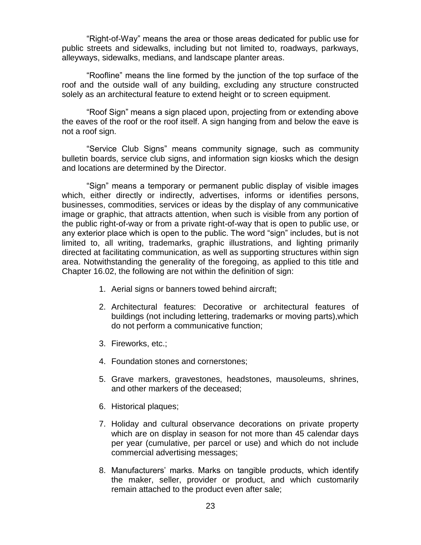"Right-of-Way" means the area or those areas dedicated for public use for public streets and sidewalks, including but not limited to, roadways, parkways, alleyways, sidewalks, medians, and landscape planter areas.

"Roofline" means the line formed by the junction of the top surface of the roof and the outside wall of any building, excluding any structure constructed solely as an architectural feature to extend height or to screen equipment.

"Roof Sign" means a sign placed upon, projecting from or extending above the eaves of the roof or the roof itself. A sign hanging from and below the eave is not a roof sign.

"Service Club Signs" means community signage, such as community bulletin boards, service club signs, and information sign kiosks which the design and locations are determined by the Director.

"Sign" means a temporary or permanent public display of visible images which, either directly or indirectly, advertises, informs or identifies persons, businesses, commodities, services or ideas by the display of any communicative image or graphic, that attracts attention, when such is visible from any portion of the public right-of-way or from a private right-of-way that is open to public use, or any exterior place which is open to the public. The word "sign" includes, but is not limited to, all writing, trademarks, graphic illustrations, and lighting primarily directed at facilitating communication, as well as supporting structures within sign area. Notwithstanding the generality of the foregoing, as applied to this title and Chapter 16.02, the following are not within the definition of sign:

- 1. Aerial signs or banners towed behind aircraft;
- 2. Architectural features: Decorative or architectural features of buildings (not including lettering, trademarks or moving parts),which do not perform a communicative function;
- 3. Fireworks, etc.;
- 4. Foundation stones and cornerstones;
- 5. Grave markers, gravestones, headstones, mausoleums, shrines, and other markers of the deceased;
- 6. Historical plaques;
- 7. Holiday and cultural observance decorations on private property which are on display in season for not more than 45 calendar days per year (cumulative, per parcel or use) and which do not include commercial advertising messages;
- 8. Manufacturers' marks. Marks on tangible products, which identify the maker, seller, provider or product, and which customarily remain attached to the product even after sale;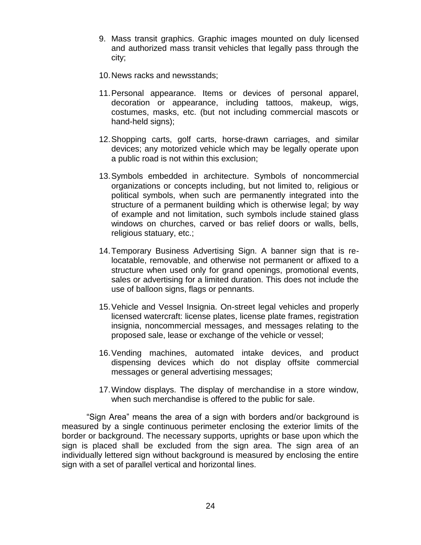- 9. Mass transit graphics. Graphic images mounted on duly licensed and authorized mass transit vehicles that legally pass through the city;
- 10.News racks and newsstands;
- 11.Personal appearance. Items or devices of personal apparel, decoration or appearance, including tattoos, makeup, wigs, costumes, masks, etc. (but not including commercial mascots or hand-held signs);
- 12.Shopping carts, golf carts, horse-drawn carriages, and similar devices; any motorized vehicle which may be legally operate upon a public road is not within this exclusion;
- 13.Symbols embedded in architecture. Symbols of noncommercial organizations or concepts including, but not limited to, religious or political symbols, when such are permanently integrated into the structure of a permanent building which is otherwise legal; by way of example and not limitation, such symbols include stained glass windows on churches, carved or bas relief doors or walls, bells, religious statuary, etc.;
- 14.Temporary Business Advertising Sign. A banner sign that is relocatable, removable, and otherwise not permanent or affixed to a structure when used only for grand openings, promotional events, sales or advertising for a limited duration. This does not include the use of balloon signs, flags or pennants.
- 15.Vehicle and Vessel Insignia. On-street legal vehicles and properly licensed watercraft: license plates, license plate frames, registration insignia, noncommercial messages, and messages relating to the proposed sale, lease or exchange of the vehicle or vessel;
- 16.Vending machines, automated intake devices, and product dispensing devices which do not display offsite commercial messages or general advertising messages;
- 17.Window displays. The display of merchandise in a store window, when such merchandise is offered to the public for sale.

"Sign Area" means the area of a sign with borders and/or background is measured by a single continuous perimeter enclosing the exterior limits of the border or background. The necessary supports, uprights or base upon which the sign is placed shall be excluded from the sign area. The sign area of an individually lettered sign without background is measured by enclosing the entire sign with a set of parallel vertical and horizontal lines.